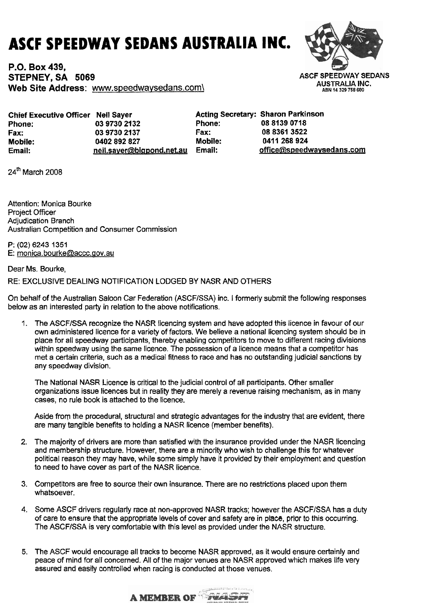## **ASCF SPEEDWAY SEDANS AUSTRALIA INC.**

**P.O. Box 439. STEPNEY, SA 5069 Web Site Address:** www.speedwavsedans.com\



| Chief Executive Officer Neil Sayer |                           |                | <b>Acting Secretary: Sharon Parkinson</b> |
|------------------------------------|---------------------------|----------------|-------------------------------------------|
| Phone:                             | 03 9730 2132              | <b>Phone:</b>  | 08 8139 0718                              |
| Fax:                               | 03 9730 2137              | Fax:           | 08 8361 3522                              |
| <b>Mobile:</b>                     | 0402 892 827              | <b>Mobile:</b> | 0411 268 924                              |
| Email:                             | neil.sayer@bigpond.net.au | Email:         | office@speedwaysedans.com                 |

24" March 2008

Attention: Monica Bourke Project Officer Adjudication Branch Australian Competition and Consumer Commission

**P: (02)** 6243 **1351**  E: monica. bourke@accc.aov.au

## Dear Ms. Bourke,

## RE: EXCLUSIVE DEALING NOTIFICATION LODGED BY NASR AND OTHERS

On behalf of the Australian Saloon Car Federation (ASCFISSA) inc. I formerly submit the following responses below as an interested party in relation to the above notifications.

1. The ASCFISSA recognize the NASR licencing system and have adopted this licence in favour of our own administered licence for a variety of factors. We believe a national licencing system should be in place for all speedway participants, thereby enabling competitors to move to different racing divisions within speedway using the same licence. The possession of a licence means that a competitor has met a certain criteria, such as a medical fitness to race and has no outstanding judicial sanctions **by**  any speedway division.

The National NASR Licence is critical to the judicial control of all participants. Other smaller organizations issue licences but in reality they are merely a revenue raising mechanism, as in many cases, no rule book is attached to the licence.

Aside from the procedural, structural and strategic advantages for the industry that are evident, there are many tangible benefits to holding a NASR licence (member benefits).

- 2. The majority of drivers are more than satisfied with the insurance provided under the NASR licencing and membership structure. However, there are a minority who wish to challenge this for whatever political reason they may have, while some simply have it provided by their employment and question to need to have cover **as** part of the NASR licence.
- 3. Competitors are free to source their own insurance. There are no restrictions placed upon them whatsoever.
- **4.** Some ASCF drivers regularly race at non-approved NASR tracks; however the ASCFISSA has a duty of care to ensure that the appropriate levels of cover and safety are in place, prior to this occurring. The ASCFISSA is very comfortable with this level as provided under the NASR structure.
- 5. The ASCF would encourage all tracks to become NASR approved, as it would ensure certainly and peace of mind for all concerned. All of the major venues are NASR approved which makes life very assured **and** easily controlled when racing is conducted at those venues.